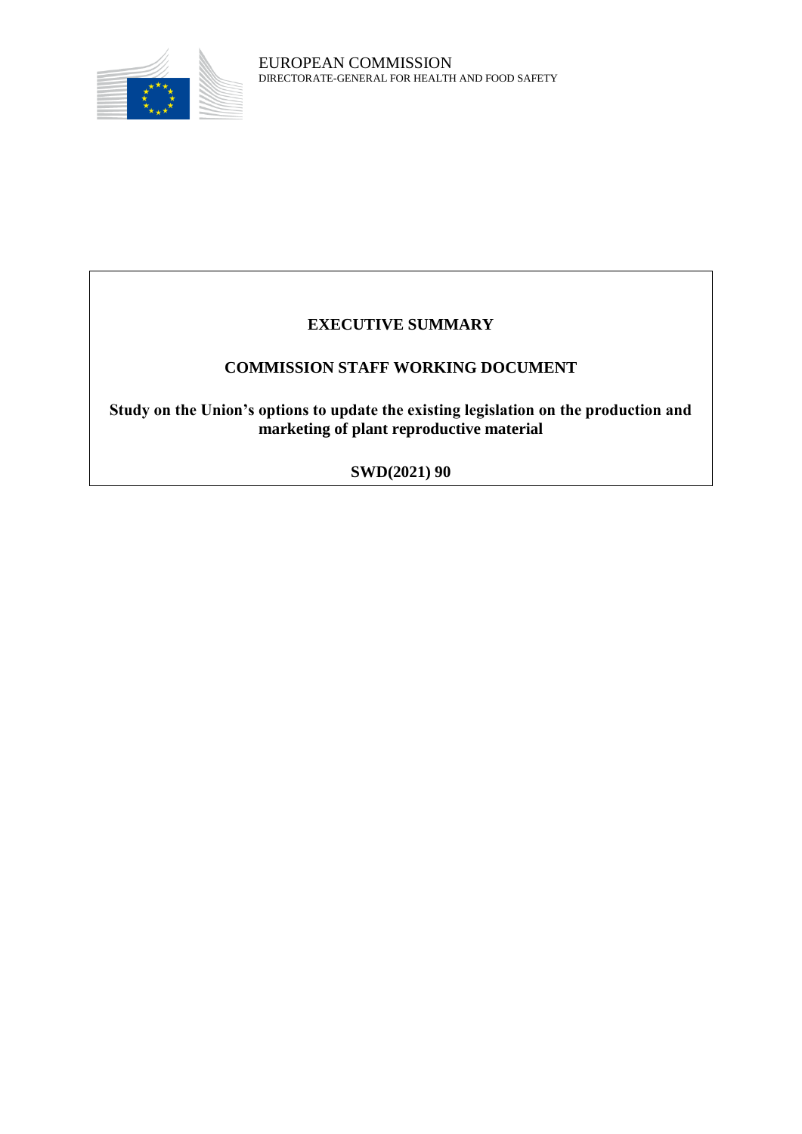

## **EXECUTIVE SUMMARY**

## **COMMISSION STAFF WORKING DOCUMENT**

**Study on the Union's options to update the existing legislation on the production and marketing of plant reproductive material**

**SWD(2021) 90**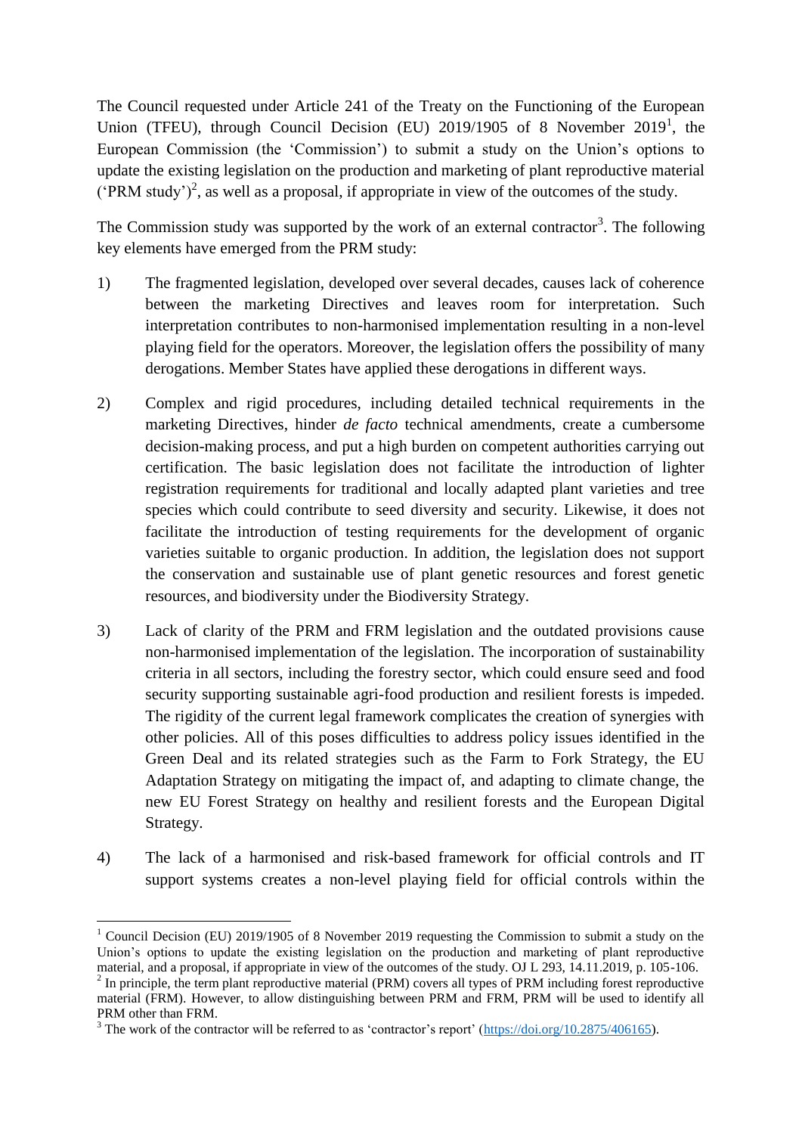The Council requested under Article 241 of the Treaty on the Functioning of the European Union (TFEU), through Council Decision (EU)  $2019/1905$  of 8 November  $2019<sup>1</sup>$ , the European Commission (the 'Commission') to submit a study on the Union's options to update the existing legislation on the production and marketing of plant reproductive material ('PRM study')<sup>2</sup>, as well as a proposal, if appropriate in view of the outcomes of the study.

The Commission study was supported by the work of an external contractor<sup>3</sup>. The following key elements have emerged from the PRM study:

- 1) The fragmented legislation, developed over several decades, causes lack of coherence between the marketing Directives and leaves room for interpretation. Such interpretation contributes to non-harmonised implementation resulting in a non-level playing field for the operators. Moreover, the legislation offers the possibility of many derogations. Member States have applied these derogations in different ways.
- 2) Complex and rigid procedures, including detailed technical requirements in the marketing Directives, hinder *de facto* technical amendments, create a cumbersome decision-making process, and put a high burden on competent authorities carrying out certification. The basic legislation does not facilitate the introduction of lighter registration requirements for traditional and locally adapted plant varieties and tree species which could contribute to seed diversity and security. Likewise, it does not facilitate the introduction of testing requirements for the development of organic varieties suitable to organic production. In addition, the legislation does not support the conservation and sustainable use of plant genetic resources and forest genetic resources, and biodiversity under the Biodiversity Strategy.
- 3) Lack of clarity of the PRM and FRM legislation and the outdated provisions cause non-harmonised implementation of the legislation. The incorporation of sustainability criteria in all sectors, including the forestry sector, which could ensure seed and food security supporting sustainable agri-food production and resilient forests is impeded. The rigidity of the current legal framework complicates the creation of synergies with other policies. All of this poses difficulties to address policy issues identified in the Green Deal and its related strategies such as the Farm to Fork Strategy, the EU Adaptation Strategy on mitigating the impact of, and adapting to climate change, the new EU Forest Strategy on healthy and resilient forests and the European Digital Strategy.
- 4) The lack of a harmonised and risk-based framework for official controls and IT support systems creates a non-level playing field for official controls within the

**<sup>.</sup>** <sup>1</sup> Council Decision (EU) 2019/1905 of 8 November 2019 requesting the Commission to submit a study on the Union's options to update the existing legislation on the production and marketing of plant reproductive material, and a proposal, if appropriate in view of the outcomes of the study. OJ L 293,  $\overline{14.11.2019}$ , p. 105-106. <sup>2</sup> In principle, the term plant reproductive material (PRM) covers all types of PRM including forest reproductive material (FRM). However, to allow distinguishing between PRM and FRM, PRM will be used to identify all PRM other than FRM.

 $3$  The work of the contractor will be referred to as 'contractor's report' ( $\frac{https://doi.org/10.2875/406165)}{https://doi.org/10.2875/406165)}$ .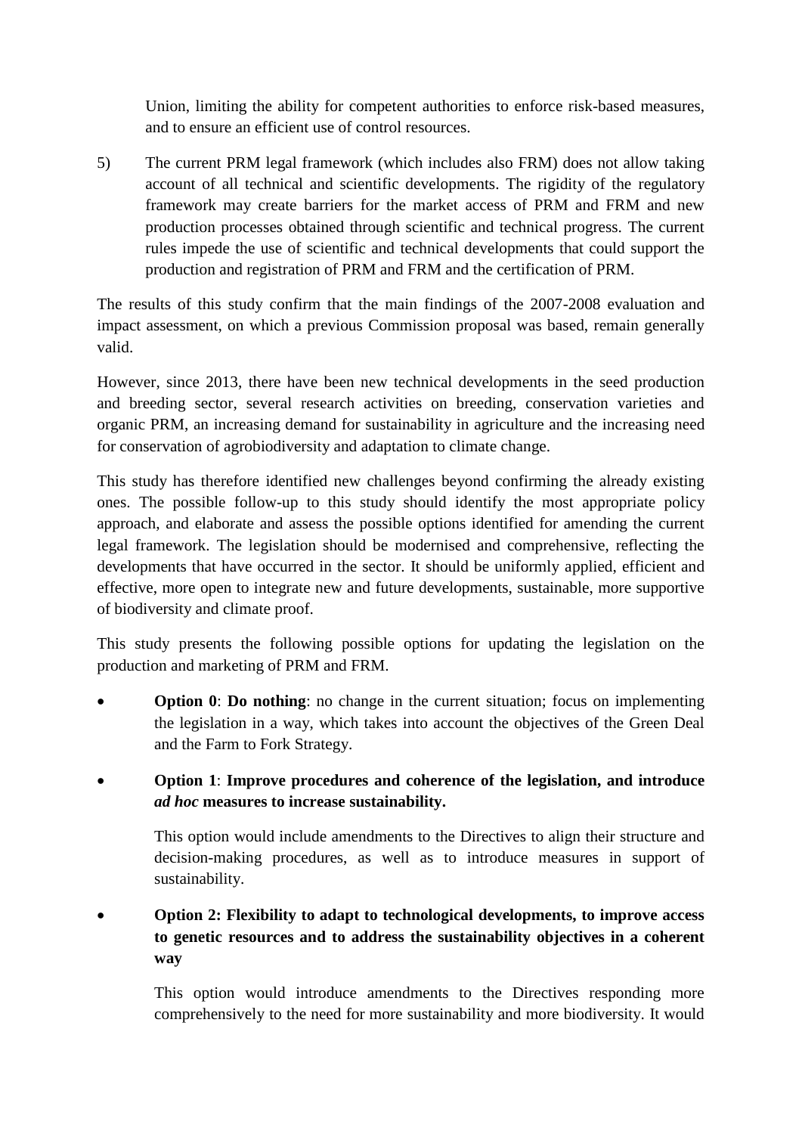Union, limiting the ability for competent authorities to enforce risk-based measures, and to ensure an efficient use of control resources.

5) The current PRM legal framework (which includes also FRM) does not allow taking account of all technical and scientific developments. The rigidity of the regulatory framework may create barriers for the market access of PRM and FRM and new production processes obtained through scientific and technical progress. The current rules impede the use of scientific and technical developments that could support the production and registration of PRM and FRM and the certification of PRM.

The results of this study confirm that the main findings of the 2007-2008 evaluation and impact assessment, on which a previous Commission proposal was based, remain generally valid.

However, since 2013, there have been new technical developments in the seed production and breeding sector, several research activities on breeding, conservation varieties and organic PRM, an increasing demand for sustainability in agriculture and the increasing need for conservation of agrobiodiversity and adaptation to climate change.

This study has therefore identified new challenges beyond confirming the already existing ones. The possible follow-up to this study should identify the most appropriate policy approach, and elaborate and assess the possible options identified for amending the current legal framework. The legislation should be modernised and comprehensive, reflecting the developments that have occurred in the sector. It should be uniformly applied, efficient and effective, more open to integrate new and future developments, sustainable, more supportive of biodiversity and climate proof.

This study presents the following possible options for updating the legislation on the production and marketing of PRM and FRM.

- **Option 0: Do nothing:** no change in the current situation; focus on implementing the legislation in a way, which takes into account the objectives of the Green Deal and the Farm to Fork Strategy.
- **Option 1**: **Improve procedures and coherence of the legislation, and introduce**  *ad hoc* **measures to increase sustainability.**

This option would include amendments to the Directives to align their structure and decision-making procedures, as well as to introduce measures in support of sustainability.

## **Option 2: Flexibility to adapt to technological developments, to improve access to genetic resources and to address the sustainability objectives in a coherent way**

This option would introduce amendments to the Directives responding more comprehensively to the need for more sustainability and more biodiversity. It would